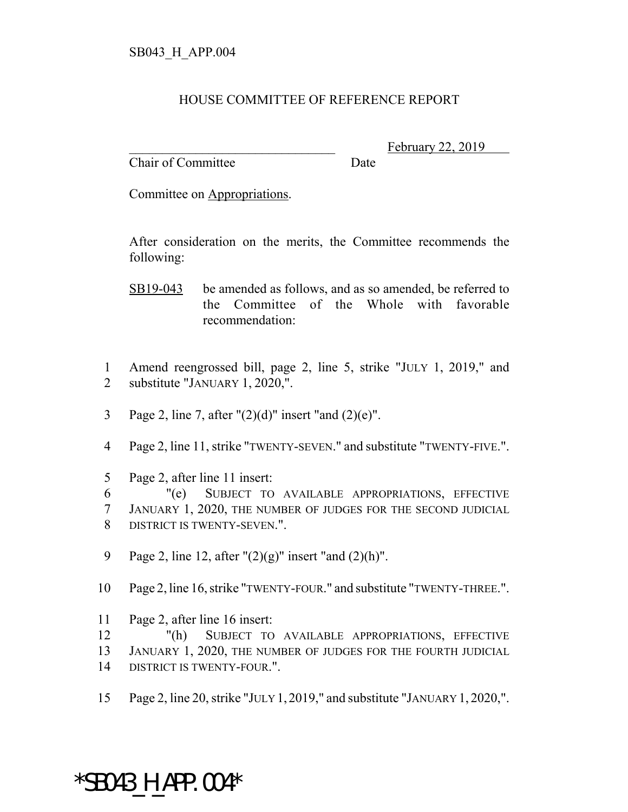## HOUSE COMMITTEE OF REFERENCE REPORT

Chair of Committee Date

February 22, 2019

Committee on Appropriations.

After consideration on the merits, the Committee recommends the following:

- SB19-043 be amended as follows, and as so amended, be referred to the Committee of the Whole with favorable recommendation:
- 1 Amend reengrossed bill, page 2, line 5, strike "JULY 1, 2019," and 2 substitute "JANUARY 1, 2020,".
- 3 Page 2, line 7, after  $"(2)(d)"$  insert "and  $(2)(e)"$ .
- 4 Page 2, line 11, strike "TWENTY-SEVEN." and substitute "TWENTY-FIVE.".
- 5 Page 2, after line 11 insert:

6 "(e) SUBJECT TO AVAILABLE APPROPRIATIONS, EFFECTIVE 7 JANUARY 1, 2020, THE NUMBER OF JUDGES FOR THE SECOND JUDICIAL 8 DISTRICT IS TWENTY-SEVEN.".

- 9 Page 2, line 12, after " $(2)(g)$ " insert "and  $(2)(h)$ ".
- 10 Page 2, line 16, strike "TWENTY-FOUR." and substitute "TWENTY-THREE.".
- 11 Page 2, after line 16 insert:
- 12 "(h) SUBJECT TO AVAILABLE APPROPRIATIONS, EFFECTIVE
- 13 JANUARY 1, 2020, THE NUMBER OF JUDGES FOR THE FOURTH JUDICIAL
- 14 DISTRICT IS TWENTY-FOUR.".
- 15 Page 2, line 20, strike "JULY 1, 2019," and substitute "JANUARY 1, 2020,".

## \*SB043\_H\_APP.004\*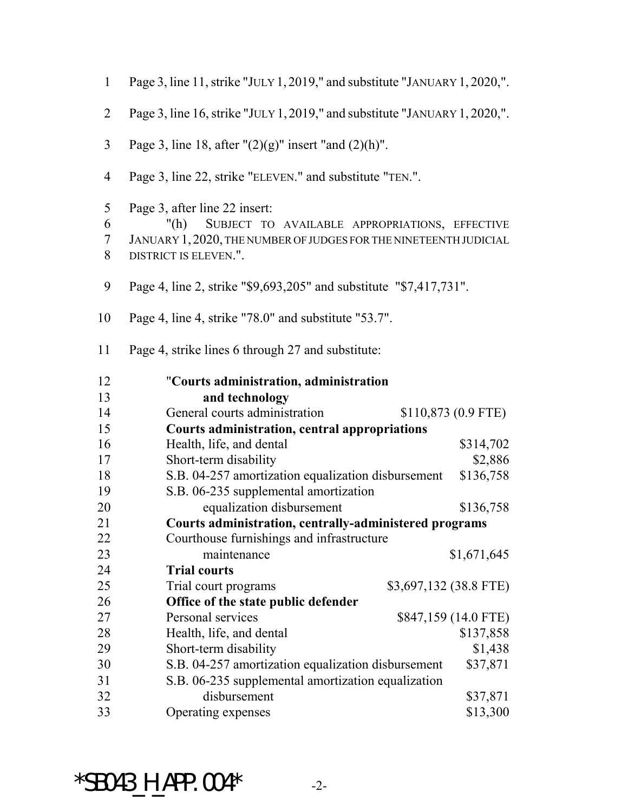| $\mathbf{1}$     | Page 3, line 11, strike "JULY 1, 2019," and substitute "JANUARY 1, 2020,".                                                                                                            |                      |  |
|------------------|---------------------------------------------------------------------------------------------------------------------------------------------------------------------------------------|----------------------|--|
| $\overline{2}$   | Page 3, line 16, strike "JULY 1, 2019," and substitute "JANUARY 1, 2020,".                                                                                                            |                      |  |
| $\overline{3}$   | Page 3, line 18, after $''(2)(g)''$ insert "and $(2)(h)''$ .                                                                                                                          |                      |  |
| $\overline{4}$   | Page 3, line 22, strike "ELEVEN." and substitute "TEN.".                                                                                                                              |                      |  |
| 5<br>6<br>7<br>8 | Page 3, after line 22 insert:<br>"(h)<br>SUBJECT TO AVAILABLE APPROPRIATIONS, EFFECTIVE<br>JANUARY 1, 2020, THE NUMBER OF JUDGES FOR THE NINETEENTH JUDICIAL<br>DISTRICT IS ELEVEN.". |                      |  |
| 9                | Page 4, line 2, strike "\$9,693,205" and substitute "\$7,417,731".                                                                                                                    |                      |  |
| 10               | Page 4, line 4, strike "78.0" and substitute "53.7".                                                                                                                                  |                      |  |
| 11               | Page 4, strike lines 6 through 27 and substitute:                                                                                                                                     |                      |  |
| 12<br>13         | "Courts administration, administration<br>and technology                                                                                                                              |                      |  |
|                  |                                                                                                                                                                                       |                      |  |
|                  |                                                                                                                                                                                       |                      |  |
| 14<br>15         | General courts administration                                                                                                                                                         | $$110,873$ (0.9 FTE) |  |
| 16               | <b>Courts administration, central appropriations</b>                                                                                                                                  |                      |  |
| 17               | Health, life, and dental                                                                                                                                                              | \$314,702            |  |
| 18               | Short-term disability<br>S.B. 04-257 amortization equalization disbursement                                                                                                           | \$2,886<br>\$136,758 |  |
| 19               | S.B. 06-235 supplemental amortization                                                                                                                                                 |                      |  |
| 20               | equalization disbursement                                                                                                                                                             | \$136,758            |  |
| 21               | Courts administration, centrally-administered programs                                                                                                                                |                      |  |
| 22               | Courthouse furnishings and infrastructure                                                                                                                                             |                      |  |
| 23               | maintenance                                                                                                                                                                           | \$1,671,645          |  |
| 24               | <b>Trial courts</b>                                                                                                                                                                   |                      |  |
| 25               | \$3,697,132 (38.8 FTE)<br>Trial court programs                                                                                                                                        |                      |  |
| 26               | Office of the state public defender                                                                                                                                                   |                      |  |
| 27               | Personal services                                                                                                                                                                     | \$847,159 (14.0 FTE) |  |
| 28               | Health, life, and dental                                                                                                                                                              | \$137,858            |  |
| 29               | Short-term disability                                                                                                                                                                 | \$1,438              |  |
| 30               | S.B. 04-257 amortization equalization disbursement                                                                                                                                    | \$37,871             |  |
| 31               | S.B. 06-235 supplemental amortization equalization                                                                                                                                    |                      |  |
| 32<br>33         | disbursement<br>Operating expenses                                                                                                                                                    | \$37,871<br>\$13,300 |  |

 $*$ SB043\_H\_APP.004 $*$  -2-